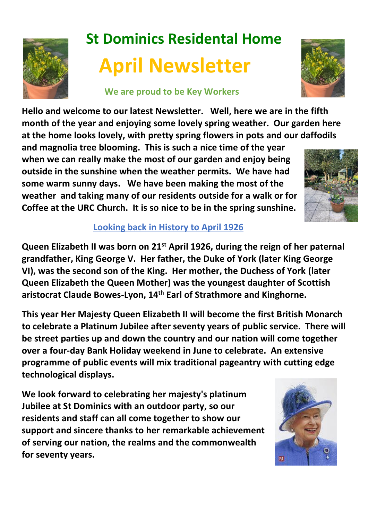

# **St Dominics Residental Home April Newsletter**

### **We are proud to be Key Workers**



**Hello and welcome to our latest Newsletter. Well, here we are in the fifth month of the year and enjoying some lovely spring weather. Our garden here at the home looks lovely, with pretty spring flowers in pots and our daffodils** 

**and magnolia tree blooming. This is such a nice time of the year when we can really make the most of our garden and enjoy being outside in the sunshine when the weather permits. We have had some warm sunny days. We have been making the most of the weather and taking many of our residents outside for a walk or for Coffee at the URC Church. It is so nice to be in the spring sunshine.** 



## **Looking back in History to April 1926**

**Queen Elizabeth II was born on 21st April 1926, during the reign of her paternal grandfather, King George V. Her father, the Duke of York (later King George VI), was the second son of the King. Her mother, the Duchess of York (later Queen Elizabeth the Queen Mother) was the youngest daughter of Scottish aristocrat Claude Bowes-Lyon, 14th Earl of Strathmore and Kinghorne.**

**This year Her Majesty Queen Elizabeth II will become the first British Monarch to celebrate a Platinum Jubilee after seventy years of public service. There will be street parties up and down the country and our nation will come together over a four-day Bank Holiday weekend in June to celebrate. An extensive programme of public events will mix traditional pageantry with cutting edge technological displays.** 

**We look forward to celebrating her majesty's platinum Jubilee at St Dominics with an outdoor party, so our residents and staff can all come together to show our support and sincere thanks to her remarkable achievement of serving our nation, the realms and the commonwealth for seventy years.**

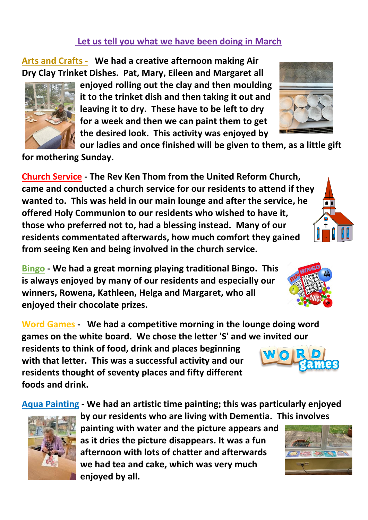#### **Let us tell you what we have been doing in March**

**Arts and Crafts - We had a creative afternoon making Air Dry Clay Trinket Dishes. Pat, Mary, Eileen and Margaret all** 

> **enjoyed rolling out the clay and then moulding it to the trinket dish and then taking it out and leaving it to dry. These have to be left to dry for a week and then we can paint them to get the desired look. This activity was enjoyed by**

**our ladies and once finished will be given to them, as a little gift** 

**for mothering Sunday.**

**Church Service - The Rev Ken Thom from the United Reform Church, came and conducted a church service for our residents to attend if they wanted to. This was held in our main lounge and after the service, he offered Holy Communion to our residents who wished to have it, those who preferred not to, had a blessing instead. Many of our residents commentated afterwards, how much comfort they gained from seeing Ken and being involved in the church service.**

**Bingo - We had a great morning playing traditional Bingo. This is always enjoyed by many of our residents and especially our winners, Rowena, Kathleen, Helga and Margaret, who all enjoyed their chocolate prizes.**

**Word Games - We had a competitive morning in the lounge doing word games on the white board. We chose the letter 'S' and we invited our residents to think of food, drink and places beginning** 

**with that letter. This was a successful activity and our residents thought of seventy places and fifty different foods and drink.** 

**Aqua Painting - We had an artistic time painting; this was particularly enjoyed** 

**by our residents who are living with Dementia. This involves painting with water and the picture appears and as it dries the picture disappears. It was a fun afternoon with lots of chatter and afterwards we had tea and cake, which was very much enjoyed by all.**









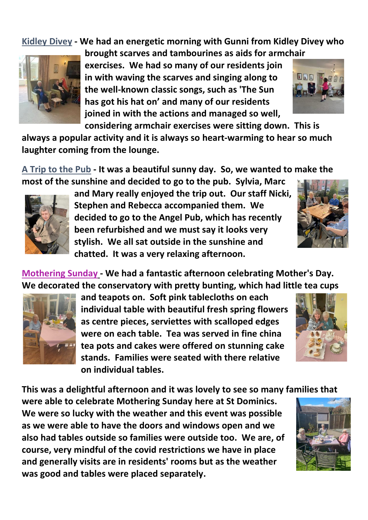**Kidley Divey - We had an energetic morning with Gunni from Kidley Divey who** 



**brought scarves and tambourines as aids for armchair exercises. We had so many of our residents join in with waving the scarves and singing along to the well-known classic songs, such as 'The Sun has got his hat on' and many of our residents joined in with the actions and managed so well,** 

**considering armchair exercises were sitting down. This is** 

**always a popular activity and it is always so heart-warming to hear so much laughter coming from the lounge.**

**A Trip to the Pub - It was a beautiful sunny day. So, we wanted to make the most of the sunshine and decided to go to the pub. Sylvia, Marc** 



**and Mary really enjoyed the trip out. Our staff Nicki, Stephen and Rebecca accompanied them. We decided to go to the Angel Pub, which has recently been refurbished and we must say it looks very stylish. We all sat outside in the sunshine and chatted. It was a very relaxing afternoon.**

**Mothering Sunday - We had a fantastic afternoon celebrating Mother's Day. We decorated the conservatory with pretty bunting, which had little tea cups** 



**and teapots on. Soft pink tablecloths on each individual table with beautiful fresh spring flowers as centre pieces, serviettes with scalloped edges were on each table. Tea was served in fine china tea pots and cakes were offered on stunning cake stands. Families were seated with there relative on individual tables.** 



**This was a delightful afternoon and it was lovely to see so many families that** 

**were able to celebrate Mothering Sunday here at St Dominics. We were so lucky with the weather and this event was possible as we were able to have the doors and windows open and we also had tables outside so families were outside too. We are, of course, very mindful of the covid restrictions we have in place and generally visits are in residents' rooms but as the weather was good and tables were placed separately.** 





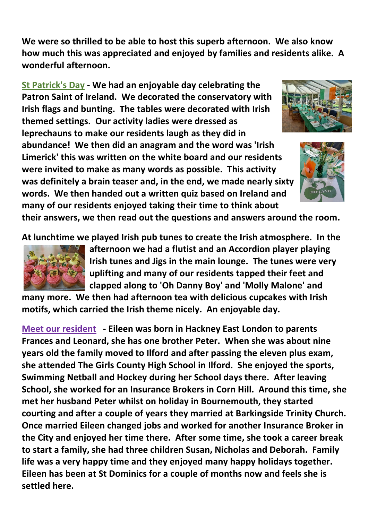**We were so thrilled to be able to host this superb afternoon. We also know how much this was appreciated and enjoyed by families and residents alike. A wonderful afternoon.**

**St Patrick's Day - We had an enjoyable day celebrating the Patron Saint of Ireland. We decorated the conservatory with Irish flags and bunting. The tables were decorated with Irish themed settings. Our activity ladies were dressed as leprechauns to make our residents laugh as they did in abundance! We then did an anagram and the word was 'Irish Limerick' this was written on the white board and our residents were invited to make as many words as possible. This activity was definitely a brain teaser and, in the end, we made nearly sixty words. We then handed out a written quiz based on Ireland and many of our residents enjoyed taking their time to think about** 





**their answers, we then read out the questions and answers around the room.**

**At lunchtime we played Irish pub tunes to create the Irish atmosphere. In the** 



**afternoon we had a flutist and an Accordion player playing Irish tunes and Jigs in the main lounge. The tunes were very uplifting and many of our residents tapped their feet and clapped along to 'Oh Danny Boy' and 'Molly Malone' and** 

**many more. We then had afternoon tea with delicious cupcakes with Irish motifs, which carried the Irish theme nicely. An enjoyable day.**

**Meet our resident - Eileen was born in Hackney East London to parents Frances and Leonard, she has one brother Peter. When she was about nine years old the family moved to Ilford and after passing the eleven plus exam, she attended The Girls County High School in Ilford. She enjoyed the sports, Swimming Netball and Hockey during her School days there. After leaving School, she worked for an Insurance Brokers in Corn Hill. Around this time, she met her husband Peter whilst on holiday in Bournemouth, they started courting and after a couple of years they married at Barkingside Trinity Church. Once married Eileen changed jobs and worked for another Insurance Broker in the City and enjoyed her time there. After some time, she took a career break to start a family, she had three children Susan, Nicholas and Deborah. Family life was a very happy time and they enjoyed many happy holidays together. Eileen has been at St Dominics for a couple of months now and feels she is settled here.**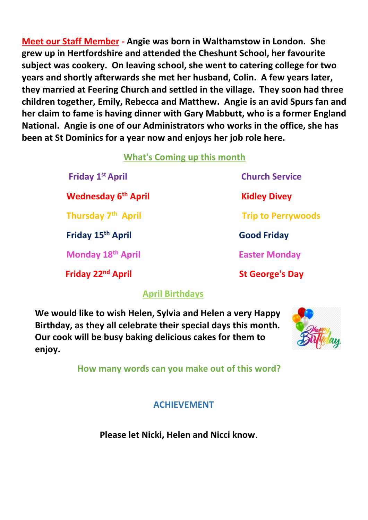**Meet our Staff Member - Angie was born in Walthamstow in London. She grew up in Hertfordshire and attended the Cheshunt School, her favourite subject was cookery. On leaving school, she went to catering college for two years and shortly afterwards she met her husband, Colin. A few years later, they married at Feering Church and settled in the village. They soon had three children together, Emily, Rebecca and Matthew. Angie is an avid Spurs fan and her claim to fame is having dinner with Gary Mabbutt, who is a former England National. Angie is one of our Administrators who works in the office, she has been at St Dominics for a year now and enjoys her job role here.**

## **What's Coming up this month**

 **Friday 1**

 **Wednesday 6**

 **Friday 15**

**Friday 22<sup>nd</sup> April St George's Day** 

## **Church Service Kidley Divey Thursday 7<sup>th</sup> April 1996 12 Trip to Perrywoods th April Good Friday Monday 18th April Easter Monday**

## **April Birthdays**

**We would like to wish Helen, Sylvia and Helen a very Happy Birthday, as they all celebrate their special days this month. Our cook will be busy baking delicious cakes for them to enjoy.**



 **How many words can you make out of this word?**

 **ACHIEVEMENT** 

 **Please let Nicki, Helen and Nicci know**.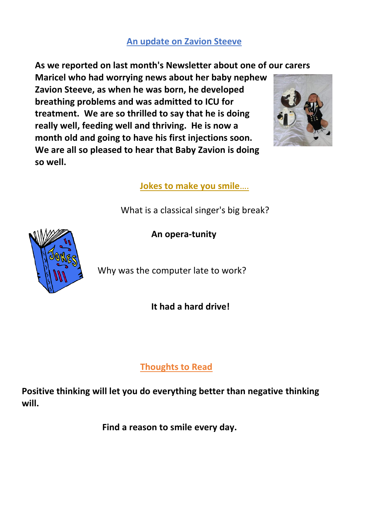### **An update on Zavion Steeve**

**As we reported on last month's Newsletter about one of our carers** 

**Maricel who had worrying news about her baby nephew Zavion Steeve, as when he was born, he developed breathing problems and was admitted to ICU for treatment. We are so thrilled to say that he is doing really well, feeding well and thriving. He is now a month old and going to have his first injections soon. We are all so pleased to hear that Baby Zavion is doing so well.** 



 **Jokes to make you smile**….

What is a classical singer's big break?



**An opera-tunity**

Why was the computer late to work?

 **It had a hard drive!**

 **Thoughts to Read**

**Positive thinking will let you do everything better than negative thinking will.**

 **Find a reason to smile every day.**